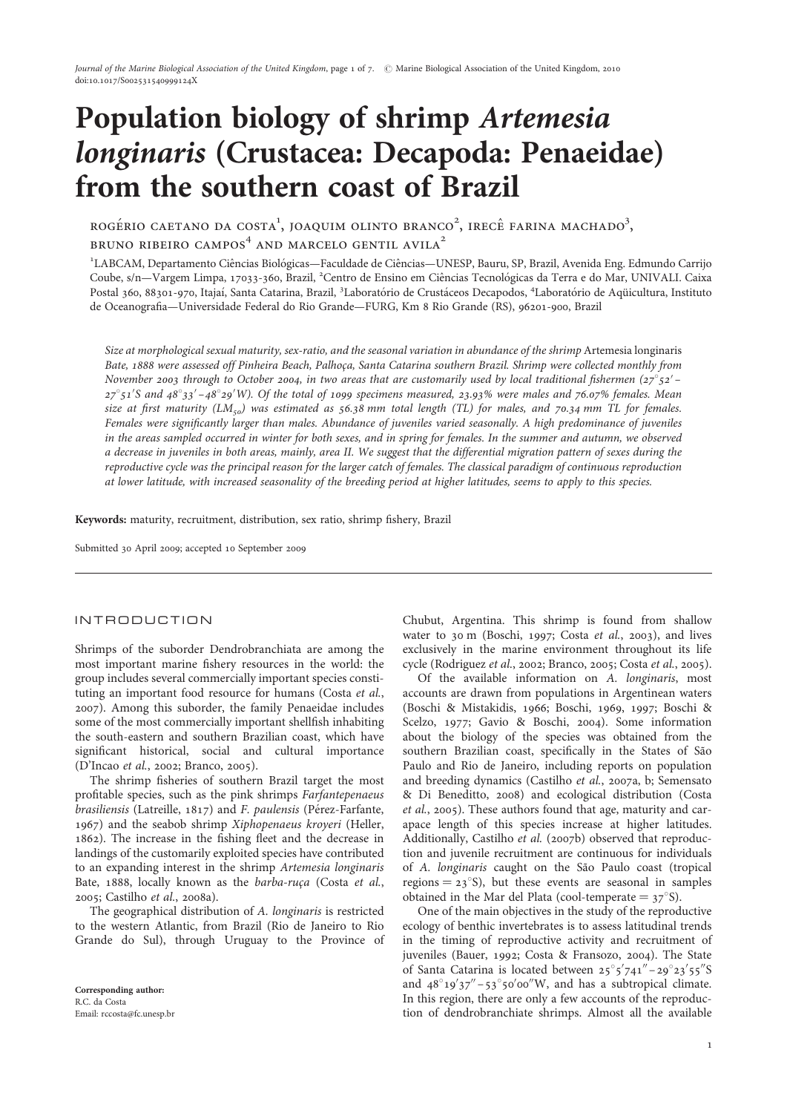# Population biology of shrimp Artemesia longinaris (Crustacea: Decapoda: Penaeidae) from the southern coast of Brazil

ROGÉRIO CAETANO DA COSTA<sup>1</sup>, JOAQUIM OLINTO BRANCO<sup>2</sup>, IRECÊ FARINA MACHADO<sup>3</sup>, BRUNO RIBEIRO CAMPOS $4$  AND MARCELO GENTIL AVILA<sup>2</sup>

<sup>1</sup>LABCAM, Departamento Ciências Biológicas—Faculdade de Ciências—UNESP, Bauru, SP, Brazil, Avenida Eng. Edmundo Carrijo Coube, s/n-Vargem Limpa, 17033-360, Brazil, <sup>2</sup>Centro de Ensino em Ciências Tecnológicas da Terra e do Mar, UNIVALI. Caixa Postal 360, 88301-970, Itajaí, Santa Catarina, Brazil, <sup>3</sup>Laboratório de Crustáceos Decapodos, <sup>4</sup>Laboratório de Aqüicultura, Instituto de Oceanografia—Universidade Federal do Rio Grande—FURG, Km 8 Rio Grande (RS), 96201-900, Brazil

Size at morphological sexual maturity, sex-ratio, and the seasonal variation in abundance of the shrimp Artemesia longinaris Bate, 1888 were assessed off Pinheira Beach, Palhoça, Santa Catarina southern Brazil. Shrimp were collected monthly from November 2003 through to October 2004, in two areas that are customarily used by local traditional fishermen  $(27°52' 27^{\circ}$ 51'S and 48°33'-48°29'W). Of the total of 1099 specimens measured, 23.93% were males and 76.07% females. Mean size at first maturity  $(LM_{50})$  was estimated as 56.38 mm total length (TL) for males, and 70.34 mm TL for females. Females were significantly larger than males. Abundance of juveniles varied seasonally. A high predominance of juveniles in the areas sampled occurred in winter for both sexes, and in spring for females. In the summer and autumn, we observed a decrease in juveniles in both areas, mainly, area II. We suggest that the differential migration pattern of sexes during the reproductive cycle was the principal reason for the larger catch of females. The classical paradigm of continuous reproduction at lower latitude, with increased seasonality of the breeding period at higher latitudes, seems to apply to this species.

Keywords: maturity, recruitment, distribution, sex ratio, shrimp fishery, Brazil

Submitted 30 April 2009; accepted 10 September 2009

## INTRODUCTION

Shrimps of the suborder Dendrobranchiata are among the most important marine fishery resources in the world: the group includes several commercially important species constituting an important food resource for humans (Costa et al., 2007). Among this suborder, the family Penaeidae includes some of the most commercially important shellfish inhabiting the south-eastern and southern Brazilian coast, which have significant historical, social and cultural importance (D'Incao et al., 2002; Branco, 2005).

The shrimp fisheries of southern Brazil target the most profitable species, such as the pink shrimps Farfantepenaeus brasiliensis (Latreille,  $1817$ ) and F. paulensis (Pérez-Farfante, 1967) and the seabob shrimp Xiphopenaeus kroyeri (Heller, 1862). The increase in the fishing fleet and the decrease in landings of the customarily exploited species have contributed to an expanding interest in the shrimp Artemesia longinaris Bate, 1888, locally known as the barba-ruça (Costa et al., 2005; Castilho et al., 2008a).

The geographical distribution of A. longinaris is restricted to the western Atlantic, from Brazil (Rio de Janeiro to Rio Grande do Sul), through Uruguay to the Province of Chubut, Argentina. This shrimp is found from shallow water to 30 m (Boschi, 1997; Costa et al., 2003), and lives exclusively in the marine environment throughout its life cycle (Rodriguez et al., 2002; Branco, 2005; Costa et al., 2005).

Of the available information on A. longinaris, most accounts are drawn from populations in Argentinean waters (Boschi & Mistakidis, 1966; Boschi, 1969, 1997; Boschi & Scelzo, 1977; Gavio & Boschi, 2004). Some information about the biology of the species was obtained from the southern Brazilian coast, specifically in the States of São Paulo and Rio de Janeiro, including reports on population and breeding dynamics (Castilho et al., 2007a, b; Semensato & Di Beneditto, 2008) and ecological distribution (Costa et al., 2005). These authors found that age, maturity and carapace length of this species increase at higher latitudes. Additionally, Castilho et al. (2007b) observed that reproduction and juvenile recruitment are continuous for individuals of A. longinaris caught on the São Paulo coast (tropical regions  $= 23^{\circ}$ S), but these events are seasonal in samples obtained in the Mar del Plata (cool-temperate  $= 37^{\circ}$ S).

One of the main objectives in the study of the reproductive ecology of benthic invertebrates is to assess latitudinal trends in the timing of reproductive activity and recruitment of juveniles (Bauer, 1992; Costa & Fransozo, 2004). The State of Santa Catarina is located between  $25^{\circ}5'741'' - 29^{\circ}23'55''$ S and  $48^{\circ}19'37'' - 53^{\circ}50'00''W$ , and has a subtropical climate. In this region, there are only a few accounts of the reproduction of dendrobranchiate shrimps. Almost all the available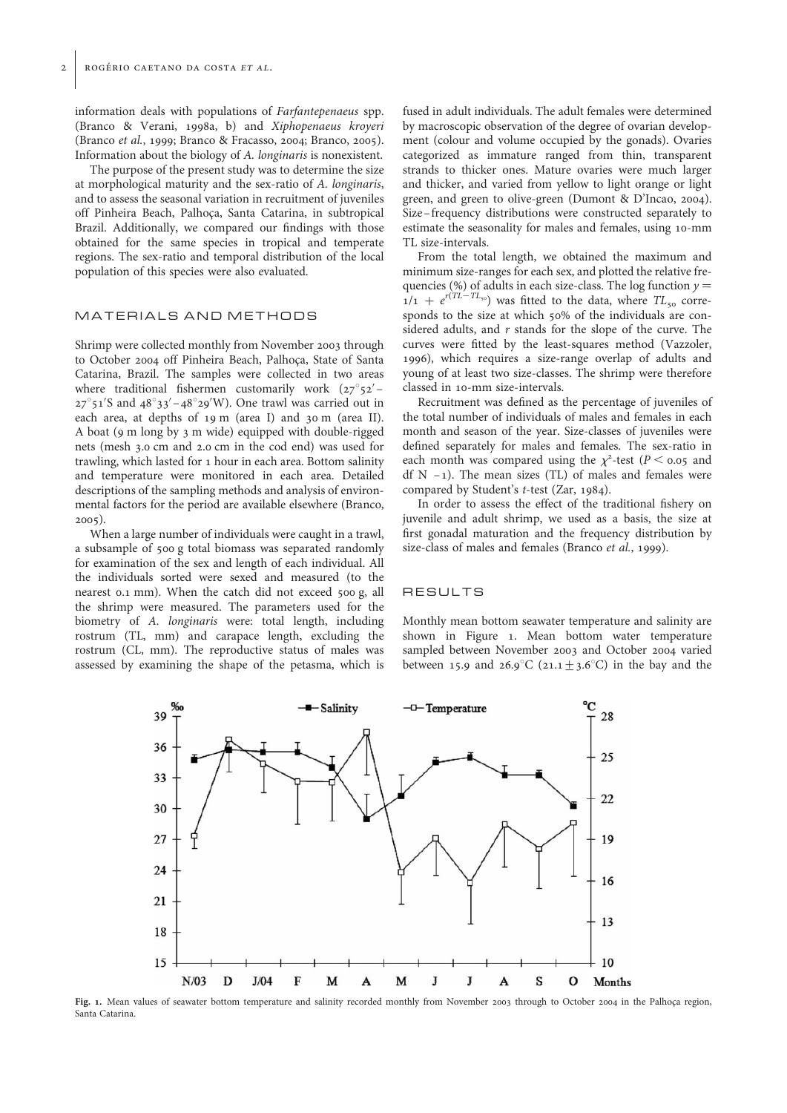information deals with populations of Farfantepenaeus spp. (Branco & Verani, 1998a, b) and Xiphopenaeus kroyeri (Branco et al., 1999; Branco & Fracasso, 2004; Branco, 2005). Information about the biology of A. longinaris is nonexistent.

The purpose of the present study was to determine the size at morphological maturity and the sex-ratio of A. longinaris, and to assess the seasonal variation in recruitment of juveniles off Pinheira Beach, Palhoça, Santa Catarina, in subtropical Brazil. Additionally, we compared our findings with those obtained for the same species in tropical and temperate regions. The sex-ratio and temporal distribution of the local population of this species were also evaluated.

## MATERIALS AND METHODS

Shrimp were collected monthly from November 2003 through to October 2004 off Pinheira Beach, Palhoca, State of Santa Catarina, Brazil. The samples were collected in two areas where traditional fishermen customarily work  $(27°52' 27^{\circ}$ 51'S and  $48^{\circ}33' - 48^{\circ}29'$ W). One trawl was carried out in each area, at depths of 19 m (area I) and 30 m (area II). A boat (9 m long by 3 m wide) equipped with double-rigged nets (mesh 3.0 cm and 2.0 cm in the cod end) was used for trawling, which lasted for 1 hour in each area. Bottom salinity and temperature were monitored in each area. Detailed descriptions of the sampling methods and analysis of environmental factors for the period are available elsewhere (Branco, 2005).

When a large number of individuals were caught in a trawl, a subsample of 500 g total biomass was separated randomly for examination of the sex and length of each individual. All the individuals sorted were sexed and measured (to the nearest 0.1 mm). When the catch did not exceed 500 g, all the shrimp were measured. The parameters used for the biometry of A. longinaris were: total length, including rostrum (TL, mm) and carapace length, excluding the rostrum (CL, mm). The reproductive status of males was assessed by examining the shape of the petasma, which is

fused in adult individuals. The adult females were determined by macroscopic observation of the degree of ovarian development (colour and volume occupied by the gonads). Ovaries categorized as immature ranged from thin, transparent strands to thicker ones. Mature ovaries were much larger and thicker, and varied from yellow to light orange or light green, and green to olive-green (Dumont & D'Incao, 2004). Size –frequency distributions were constructed separately to estimate the seasonality for males and females, using 10-mm TL size-intervals.

From the total length, we obtained the maximum and minimum size-ranges for each sex, and plotted the relative frequencies (%) of adults in each size-class. The log function  $y =$  $1/1 + e^{r(T_L - T_{50})}$  was fitted to the data, where  $TL_{50}$  corresponds to the size at which 50% of the individuals are considered adults, and r stands for the slope of the curve. The curves were fitted by the least-squares method (Vazzoler, 1996), which requires a size-range overlap of adults and young of at least two size-classes. The shrimp were therefore classed in 10-mm size-intervals.

Recruitment was defined as the percentage of juveniles of the total number of individuals of males and females in each month and season of the year. Size-classes of juveniles were defined separately for males and females. The sex-ratio in each month was compared using the  $\chi^2$ -test (P < 0.05 and df  $N -1$ ). The mean sizes (TL) of males and females were compared by Student's t-test (Zar, 1984).

In order to assess the effect of the traditional fishery on juvenile and adult shrimp, we used as a basis, the size at first gonadal maturation and the frequency distribution by size-class of males and females (Branco *et al.*, 1999).

#### RESULTS

Monthly mean bottom seawater temperature and salinity are shown in Figure 1. Mean bottom water temperature sampled between November 2003 and October 2004 varied between 15.9 and 26.9°C (21.1  $\pm$  3.6°C) in the bay and the



Fig. 1. Mean values of seawater bottom temperature and salinity recorded monthly from November 2003 through to October 2004 in the Palhoca region, Santa Catarina.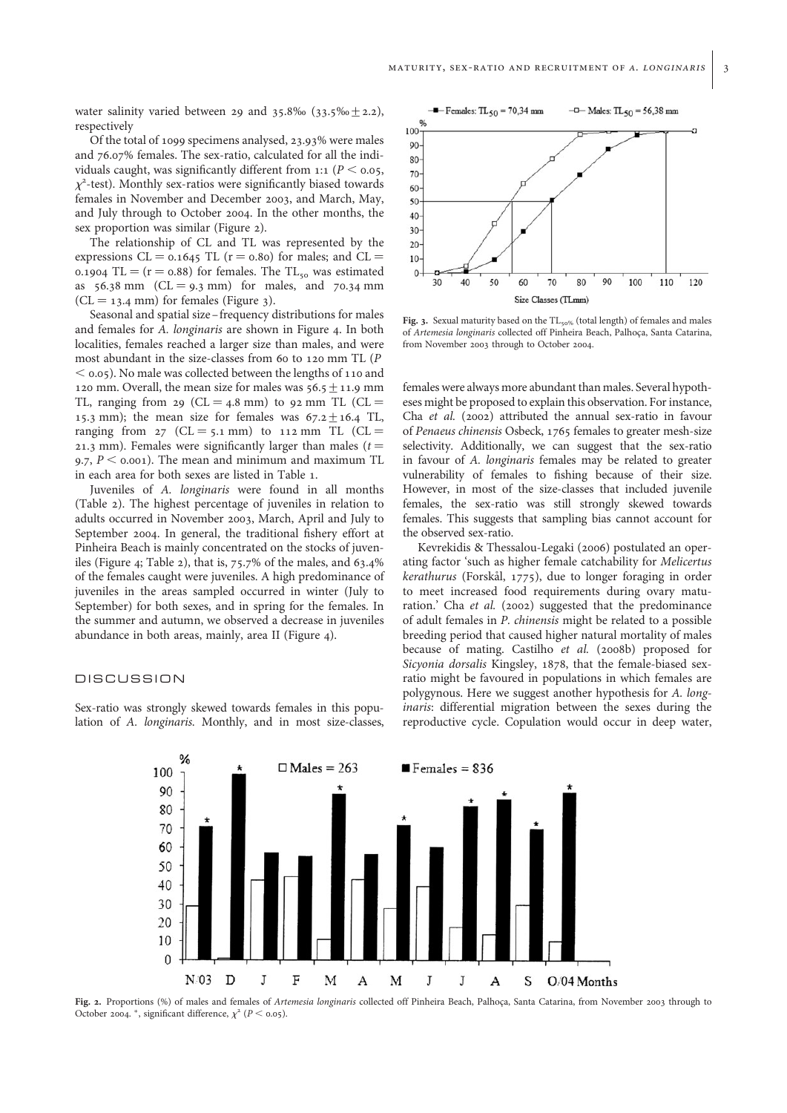water salinity varied between 29 and 35.8‰ (33.5‰ $\pm$ 2.2), respectively

Of the total of 1099 specimens analysed, 23.93% were males and 76.07% females. The sex-ratio, calculated for all the individuals caught, was significantly different from 1:1 ( $P <$  0.05,  $\chi^2$ -test). Monthly sex-ratios were significantly biased towards females in November and December 2003, and March, May, and July through to October 2004. In the other months, the sex proportion was similar (Figure 2).

The relationship of CL and TL was represented by the expressions CL =  $0.1645$  TL (r =  $0.80$ ) for males; and CL = 0.1904 TL =  $(r = 0.88)$  for females. The TL<sub>50</sub> was estimated as  $56.38 \text{ mm}$  (CL = 9.3 mm) for males, and 70.34 mm  $(CL = 13.4 \text{ mm})$  for females (Figure 3).

Seasonal and spatial size –frequency distributions for males and females for A. longinaris are shown in Figure 4. In both localities, females reached a larger size than males, and were most abundant in the size-classes from 60 to 120 mm TL (P  $<$  0.05). No male was collected between the lengths of 110 and 120 mm. Overall, the mean size for males was  $56.5 + 11.9$  mm TL, ranging from 29 (CL = 4.8 mm) to 92 mm TL (CL = 15.3 mm); the mean size for females was  $67.2 \pm 16.4$  TL, ranging from  $27$  (CL = 5.1 mm) to 112 mm TL (CL = 21.3 mm). Females were significantly larger than males ( $t =$ 9.7,  $P \le 0.001$ ). The mean and minimum and maximum TL in each area for both sexes are listed in Table 1.

Juveniles of A. longinaris were found in all months (Table 2). The highest percentage of juveniles in relation to adults occurred in November 2003, March, April and July to September 2004. In general, the traditional fishery effort at Pinheira Beach is mainly concentrated on the stocks of juveniles (Figure 4; Table 2), that is, 75.7% of the males, and 63.4% of the females caught were juveniles. A high predominance of juveniles in the areas sampled occurred in winter (July to September) for both sexes, and in spring for the females. In the summer and autumn, we observed a decrease in juveniles abundance in both areas, mainly, area II (Figure 4).

## DISCUSSION

Sex-ratio was strongly skewed towards females in this population of A. longinaris. Monthly, and in most size-classes,



Fig. 3. Sexual maturity based on the  $TL_{50\%}$  (total length) of females and males of Artemesia longinaris collected off Pinheira Beach, Palhoca, Santa Catarina, from November 2003 through to October 2004.

females were always more abundant than males. Several hypotheses might be proposed to explain this observation. For instance, Cha et al. (2002) attributed the annual sex-ratio in favour of Penaeus chinensis Osbeck, 1765 females to greater mesh-size selectivity. Additionally, we can suggest that the sex-ratio in favour of A. longinaris females may be related to greater vulnerability of females to fishing because of their size. However, in most of the size-classes that included juvenile females, the sex-ratio was still strongly skewed towards females. This suggests that sampling bias cannot account for the observed sex-ratio.

Kevrekidis & Thessalou-Legaki (2006) postulated an operating factor 'such as higher female catchability for Melicertus  $kerathurus$  (Forskål, 1775), due to longer foraging in order to meet increased food requirements during ovary maturation.' Cha et al. (2002) suggested that the predominance of adult females in P. chinensis might be related to a possible breeding period that caused higher natural mortality of males because of mating. Castilho et al. (2008b) proposed for Sicyonia dorsalis Kingsley, 1878, that the female-biased sexratio might be favoured in populations in which females are polygynous. Here we suggest another hypothesis for A. longinaris: differential migration between the sexes during the reproductive cycle. Copulation would occur in deep water,



Fig. 2. Proportions (%) of males and females of Artemesia longinaris collected off Pinheira Beach, Palhoca, Santa Catarina, from November 2003 through to October 2004. \*, significant difference,  $\chi^2$  ( $P <$  0.05).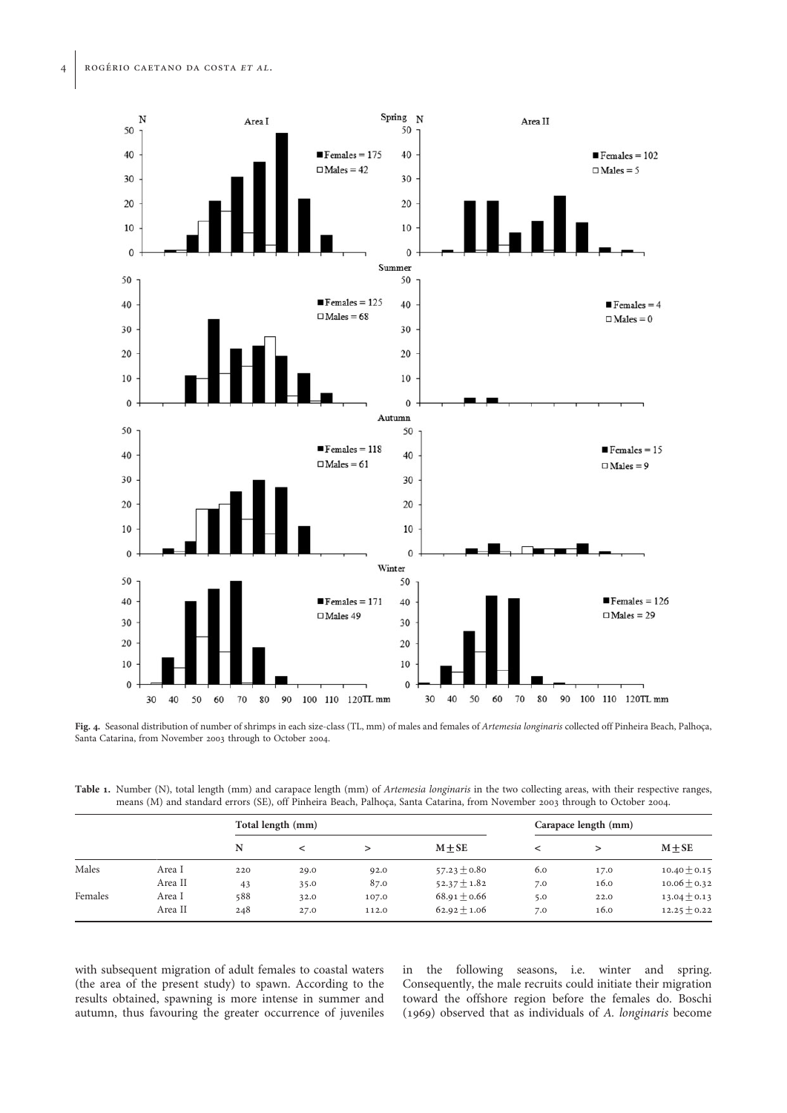

Fig. 4. Seasonal distribution of number of shrimps in each size-class (TL, mm) of males and females of Artemesia longinaris collected off Pinheira Beach, Palhoça, Santa Catarina, from November 2003 through to October 2004.

Table 1. Number (N), total length (mm) and carapace length (mm) of Artemesia longinaris in the two collecting areas, with their respective ranges, means (M) and standard errors (SE), off Pinheira Beach, Palhoca, Santa Catarina, from November 2003 through to October 2004.

|         |         |     | Total length (mm) |       |                  |     | Carapace length (mm) |                  |  |  |
|---------|---------|-----|-------------------|-------|------------------|-----|----------------------|------------------|--|--|
|         |         | N   |                   |       | $M + SE$         |     |                      | $M + SE$         |  |  |
| Males   | Area I  | 220 | 29.0              | 92.0  | $57.23 \pm 0.80$ | 6.0 | 17.0                 | $10.40 \pm 0.15$ |  |  |
|         | Area II | 43  | 35.0              | 87.0  | $52.37 \pm 1.82$ | 7.0 | 16.0                 | $10.06 \pm 0.32$ |  |  |
| Females | Area I  | 588 | 32.0              | 107.0 | $68.91 \pm 0.66$ | 5.0 | 22.0                 | $13.04 \pm 0.13$ |  |  |
|         | Area II | 248 | 27.0              | 112.0 | $62.92 \pm 1.06$ | 7.0 | 16.0                 | $12.25 \pm 0.22$ |  |  |

with subsequent migration of adult females to coastal waters (the area of the present study) to spawn. According to the results obtained, spawning is more intense in summer and autumn, thus favouring the greater occurrence of juveniles in the following seasons, i.e. winter and spring. Consequently, the male recruits could initiate their migration toward the offshore region before the females do. Boschi (1969) observed that as individuals of A. longinaris become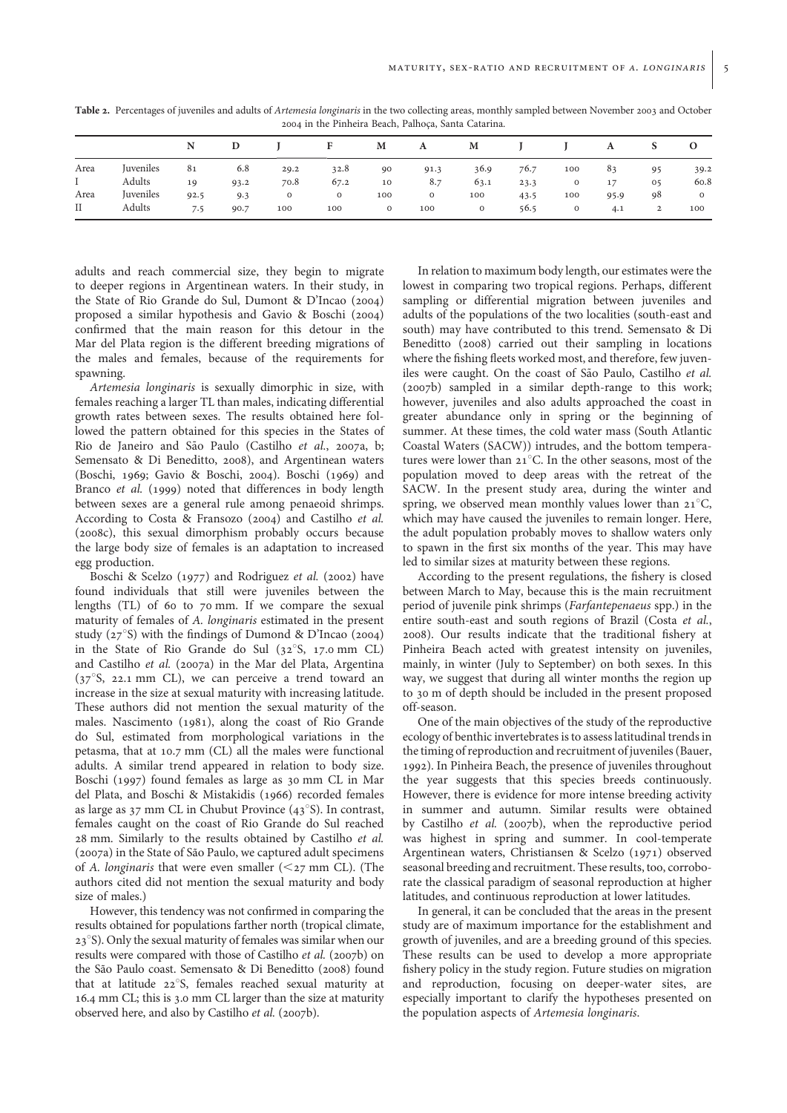Table 2. Percentages of juveniles and adults of Artemesia longinaris in the two collecting areas, monthly sampled between November 2003 and October 2004 in the Pinheira Beach, Palhoca, Santa Catarina.

|             |           | N    |      |         |         | M       | A       | M       |      |         | A    | S              | $\Omega$       |
|-------------|-----------|------|------|---------|---------|---------|---------|---------|------|---------|------|----------------|----------------|
| Area        | Juveniles | 81   | 6.8  | 29.2    | 32.8    | 90      | 91.3    | 36.9    | 76.7 | 100     | 83   | 95             | 39.2           |
| L           | Adults    | 19   | 93.2 | 70.8    | 67.2    | 10      | 8.7     | 63.1    | 23.3 | $\circ$ | 17   | 0 <sub>5</sub> | 60.8           |
| Area        | Juveniles | 92.5 | 9.3  | $\circ$ | $\circ$ | 100     | $\circ$ | 100     | 43.5 | 100     | 95.9 | 98             | $\overline{O}$ |
| $_{\rm II}$ | Adults    | 7.5  | 90.7 | 100     | 100     | $\circ$ | 100     | $\circ$ | 56.5 | $\circ$ | 4.1  | $\overline{2}$ | 100            |

adults and reach commercial size, they begin to migrate to deeper regions in Argentinean waters. In their study, in the State of Rio Grande do Sul, Dumont & D'Incao (2004) proposed a similar hypothesis and Gavio & Boschi (2004) confirmed that the main reason for this detour in the Mar del Plata region is the different breeding migrations of the males and females, because of the requirements for spawning.

Artemesia longinaris is sexually dimorphic in size, with females reaching a larger TL than males, indicating differential growth rates between sexes. The results obtained here followed the pattern obtained for this species in the States of Rio de Janeiro and São Paulo (Castilho et al., 2007a, b; Semensato & Di Beneditto, 2008), and Argentinean waters (Boschi, 1969; Gavio & Boschi, 2004). Boschi (1969) and Branco et al. (1999) noted that differences in body length between sexes are a general rule among penaeoid shrimps. According to Costa & Fransozo (2004) and Castilho et al. (2008c), this sexual dimorphism probably occurs because the large body size of females is an adaptation to increased egg production.

Boschi & Scelzo (1977) and Rodriguez et al. (2002) have found individuals that still were juveniles between the lengths (TL) of 60 to 70 mm. If we compare the sexual maturity of females of A. longinaris estimated in the present study ( $27^{\circ}$ S) with the findings of Dumond & D'Incao (2004) in the State of Rio Grande do Sul  $(32^{\circ}S, 17.0 \text{ mm}$  CL) and Castilho et al. (2007a) in the Mar del Plata, Argentina  $(37^{\circ}S, 22.1 \text{ mm}$  CL), we can perceive a trend toward an increase in the size at sexual maturity with increasing latitude. These authors did not mention the sexual maturity of the males. Nascimento (1981), along the coast of Rio Grande do Sul, estimated from morphological variations in the petasma, that at 10.7 mm (CL) all the males were functional adults. A similar trend appeared in relation to body size. Boschi (1997) found females as large as 30 mm CL in Mar del Plata, and Boschi & Mistakidis (1966) recorded females as large as  $37 \text{ mm}$  CL in Chubut Province ( $43^{\circ}$ S). In contrast, females caught on the coast of Rio Grande do Sul reached 28 mm. Similarly to the results obtained by Castilho et al. (2007a) in the State of São Paulo, we captured adult specimens of A. longinaris that were even smaller  $(*27* mm CL)$ . (The authors cited did not mention the sexual maturity and body size of males.)

However, this tendency was not confirmed in comparing the results obtained for populations farther north (tropical climate,  $23°$ S). Only the sexual maturity of females was similar when our results were compared with those of Castilho et al. (2007b) on the São Paulo coast. Semensato & Di Beneditto (2008) found that at latitude 22°S, females reached sexual maturity at 16.4 mm CL; this is 3.0 mm CL larger than the size at maturity observed here, and also by Castilho et al. (2007b).

In relation to maximum body length, our estimates were the lowest in comparing two tropical regions. Perhaps, different sampling or differential migration between juveniles and adults of the populations of the two localities (south-east and south) may have contributed to this trend. Semensato & Di Beneditto (2008) carried out their sampling in locations where the fishing fleets worked most, and therefore, few juveniles were caught. On the coast of São Paulo, Castilho et al. (2007b) sampled in a similar depth-range to this work; however, juveniles and also adults approached the coast in greater abundance only in spring or the beginning of summer. At these times, the cold water mass (South Atlantic Coastal Waters (SACW)) intrudes, and the bottom temperatures were lower than  $21^{\circ}$ C. In the other seasons, most of the population moved to deep areas with the retreat of the SACW. In the present study area, during the winter and spring, we observed mean monthly values lower than  $21^{\circ}C$ , which may have caused the juveniles to remain longer. Here, the adult population probably moves to shallow waters only to spawn in the first six months of the year. This may have led to similar sizes at maturity between these regions.

According to the present regulations, the fishery is closed between March to May, because this is the main recruitment period of juvenile pink shrimps (Farfantepenaeus spp.) in the entire south-east and south regions of Brazil (Costa et al., 2008). Our results indicate that the traditional fishery at Pinheira Beach acted with greatest intensity on juveniles, mainly, in winter (July to September) on both sexes. In this way, we suggest that during all winter months the region up to 30 m of depth should be included in the present proposed off-season.

One of the main objectives of the study of the reproductive ecology of benthic invertebrates is to assess latitudinal trends in the timing of reproduction and recruitment of juveniles (Bauer, 1992). In Pinheira Beach, the presence of juveniles throughout the year suggests that this species breeds continuously. However, there is evidence for more intense breeding activity in summer and autumn. Similar results were obtained by Castilho et al. (2007b), when the reproductive period was highest in spring and summer. In cool-temperate Argentinean waters, Christiansen & Scelzo (1971) observed seasonal breeding and recruitment. These results, too, corroborate the classical paradigm of seasonal reproduction at higher latitudes, and continuous reproduction at lower latitudes.

In general, it can be concluded that the areas in the present study are of maximum importance for the establishment and growth of juveniles, and are a breeding ground of this species. These results can be used to develop a more appropriate fishery policy in the study region. Future studies on migration and reproduction, focusing on deeper-water sites, are especially important to clarify the hypotheses presented on the population aspects of Artemesia longinaris.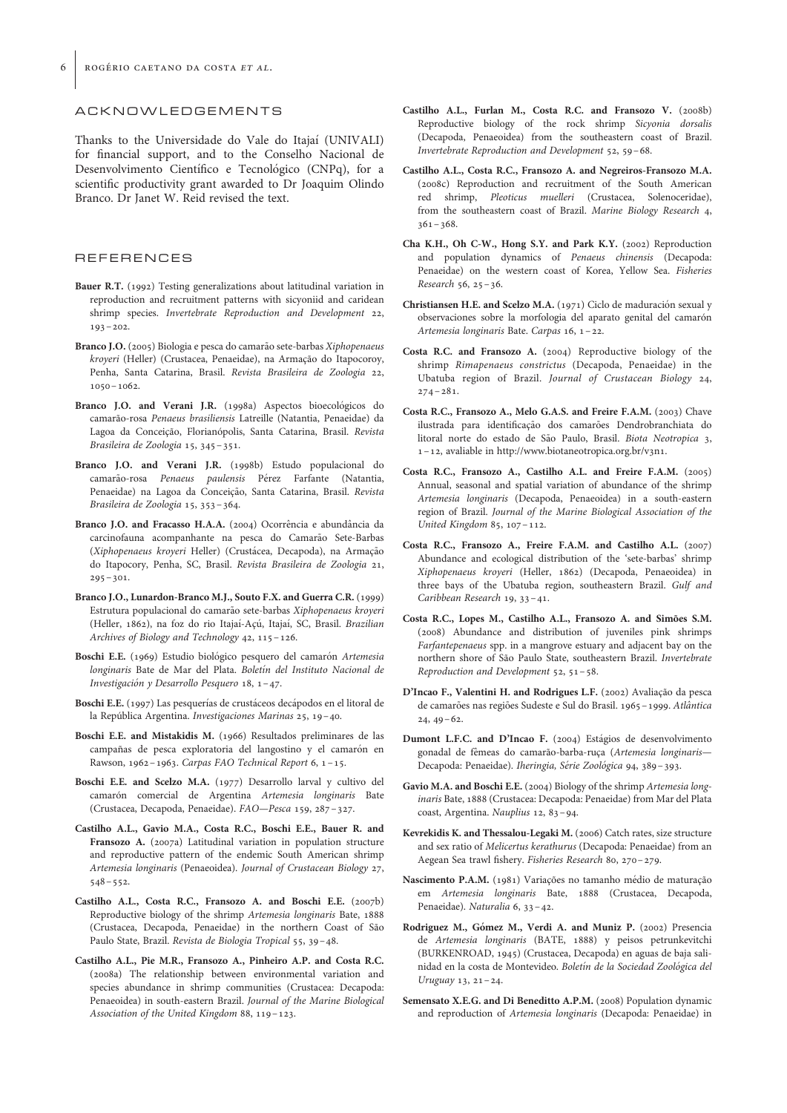#### ACKNOWLEDGEMENTS

Thanks to the Universidade do Vale do Itajaí (UNIVALI) for financial support, and to the Conselho Nacional de Desenvolvimento Científico e Tecnológico (CNPq), for a scientific productivity grant awarded to Dr Joaquim Olindo Branco. Dr Janet W. Reid revised the text.

#### **REFERENCES**

- Bauer R.T. (1992) Testing generalizations about latitudinal variation in reproduction and recruitment patterns with sicyoniid and caridean shrimp species. Invertebrate Reproduction and Development 22, 193–202.
- Branco J.O. (2005) Biologia e pesca do camarão sete-barbas Xiphopenaeus kroyeri (Heller) (Crustacea, Penaeidae), na Armação do Itapocoroy, Penha, Santa Catarina, Brasil. Revista Brasileira de Zoologia 22, 1050–1062.
- Branco J.O. and Verani J.R. (1998a) Aspectos bioecológicos do camarão-rosa Penaeus brasiliensis Latreille (Natantia, Penaeidae) da Lagoa da Conceição, Florianópolis, Santa Catarina, Brasil. Revista Brasileira de Zoologia 15, 345–351.
- Branco J.O. and Verani J.R. (1998b) Estudo populacional do camarão-rosa Penaeus paulensis Pérez Farfante (Natantia, Penaeidae) na Lagoa da Conceição, Santa Catarina, Brasil. Revista Brasileira de Zoologia 15, 353–364.
- Branco J.O. and Fracasso H.A.A. (2004) Ocorrência e abundância da carcinofauna acompanhante na pesca do Camarão Sete-Barbas (Xiphopenaeus kroyeri Heller) (Crustácea, Decapoda), na Armação do Itapocory, Penha, SC, Brasil. Revista Brasileira de Zoologia 21,  $295 - 301.$
- Branco J.O., Lunardon-Branco M.J., Souto F.X. and Guerra C.R. (1999) Estrutura populacional do camarão sete-barbas Xiphopenaeus kroyeri (Heller, 1862), na foz do rio Itajaí-Acú, Itajaí, SC, Brasil. Brazilian Archives of Biology and Technology 42, 115–126.
- Boschi E.E. (1969) Estudio biológico pesquero del camarón Artemesia longinaris Bate de Mar del Plata. Boletín del Instituto Nacional de Investigación y Desarrollo Pesquero 18, 1-47.
- Boschi E.E. (1997) Las pesquerías de crustáceos decápodos en el litoral de la República Argentina. Investigaciones Marinas 25, 19-40.
- Boschi E.E. and Mistakidis M. (1966) Resultados preliminares de las campañas de pesca exploratoria del langostino y el camarón en Rawson, 1962–1963. Carpas FAO Technical Report 6, 1 –15.
- Boschi E.E. and Scelzo M.A. (1977) Desarrollo larval y cultivo del camarón comercial de Argentina Artemesia longinaris Bate (Crustacea, Decapoda, Penaeidae). FAO—Pesca 159, 287–327.
- Castilho A.L., Gavio M.A., Costa R.C., Boschi E.E., Bauer R. and Fransozo A. (2007a) Latitudinal variation in population structure and reproductive pattern of the endemic South American shrimp Artemesia longinaris (Penaeoidea). Journal of Crustacean Biology 27,  $548 - 552.$
- Castilho A.L., Costa R.C., Fransozo A. and Boschi E.E. (2007b) Reproductive biology of the shrimp Artemesia longinaris Bate, 1888 (Crustacea, Decapoda, Penaeidae) in the northern Coast of São Paulo State, Brazil. Revista de Biologia Tropical 55, 39–48.
- Castilho A.L., Pie M.R., Fransozo A., Pinheiro A.P. and Costa R.C. (2008a) The relationship between environmental variation and species abundance in shrimp communities (Crustacea: Decapoda: Penaeoidea) in south-eastern Brazil. Journal of the Marine Biological Association of the United Kingdom 88, 119–123.
- Castilho A.L., Furlan M., Costa R.C. and Fransozo V. (2008b) Reproductive biology of the rock shrimp Sicyonia dorsalis (Decapoda, Penaeoidea) from the southeastern coast of Brazil. Invertebrate Reproduction and Development 52, 59–68.
- Castilho A.L., Costa R.C., Fransozo A. and Negreiros-Fransozo M.A. (2008c) Reproduction and recruitment of the South American red shrimp, Pleoticus muelleri (Crustacea, Solenoceridae), from the southeastern coast of Brazil. Marine Biology Research 4,  $361 - 368$
- Cha K.H., Oh C-W., Hong S.Y. and Park K.Y. (2002) Reproduction and population dynamics of Penaeus chinensis (Decapoda: Penaeidae) on the western coast of Korea, Yellow Sea. Fisheries Research 56, 25–36.
- Christiansen H.E. and Scelzo M.A. (1971) Ciclo de maduración sexual y observaciones sobre la morfologia del aparato genital del camarón Artemesia longinaris Bate. Carpas 16, 1–22.
- Costa R.C. and Fransozo A. (2004) Reproductive biology of the shrimp Rimapenaeus constrictus (Decapoda, Penaeidae) in the Ubatuba region of Brazil. Journal of Crustacean Biology 24,  $274 - 281.$
- Costa R.C., Fransozo A., Melo G.A.S. and Freire F.A.M. (2003) Chave ilustrada para identificação dos camarões Dendrobranchiata do litoral norte do estado de São Paulo, Brasil. Biota Neotropica 3, 1–12, avaliable in http://www.biotaneotropica.org.br/v3n1.
- Costa R.C., Fransozo A., Castilho A.L. and Freire F.A.M. (2005) Annual, seasonal and spatial variation of abundance of the shrimp Artemesia longinaris (Decapoda, Penaeoidea) in a south-eastern region of Brazil. Journal of the Marine Biological Association of the United Kingdom 85, 107–112.
- Costa R.C., Fransozo A., Freire F.A.M. and Castilho A.L. (2007) Abundance and ecological distribution of the 'sete-barbas' shrimp Xiphopenaeus kroyeri (Heller, 1862) (Decapoda, Penaeoidea) in three bays of the Ubatuba region, southeastern Brazil. Gulf and Caribbean Research 19, 33–41.
- Costa R.C., Lopes M., Castilho A.L., Fransozo A. and Simões S.M. (2008) Abundance and distribution of juveniles pink shrimps Farfantepenaeus spp. in a mangrove estuary and adjacent bay on the northern shore of São Paulo State, southeastern Brazil. Invertebrate Reproduction and Development 52, 51–58.
- D'Incao F., Valentini H. and Rodrigues L.F. (2002) Avaliação da pesca de camarões nas regiões Sudeste e Sul do Brasil. 1965–1999. Atlântica  $24, 49-62.$
- Dumont L.F.C. and D'Incao F. (2004) Estágios de desenvolvimento gonadal de fêmeas do camarão-barba-ruça (Artemesia longinaris-Decapoda: Penaeidae). Iheringia, Série Zoológica 94, 389-393.
- Gavio M.A. and Boschi E.E. (2004) Biology of the shrimp Artemesia longinaris Bate, 1888 (Crustacea: Decapoda: Penaeidae) from Mar del Plata coast, Argentina. Nauplius 12, 83–94.
- Kevrekidis K. and Thessalou-Legaki M. (2006) Catch rates, size structure and sex ratio of Melicertus kerathurus (Decapoda: Penaeidae) from an Aegean Sea trawl fishery. Fisheries Research 80, 270–279.
- Nascimento P.A.M. (1981) Variações no tamanho médio de maturação em Artemesia longinaris Bate, 1888 (Crustacea, Decapoda, Penaeidae). Naturalia 6, 33–42.
- Rodriguez M., Gómez M., Verdi A. and Muniz P. (2002) Presencia de Artemesia longinaris (BATE, 1888) y peisos petrunkevitchi (BURKENROAD, 1945) (Crustacea, Decapoda) en aguas de baja salinidad en la costa de Montevideo. Boletín de la Sociedad Zoológica del Uruguay 13, 21–24.
- Semensato X.E.G. and Di Beneditto A.P.M. (2008) Population dynamic and reproduction of Artemesia longinaris (Decapoda: Penaeidae) in